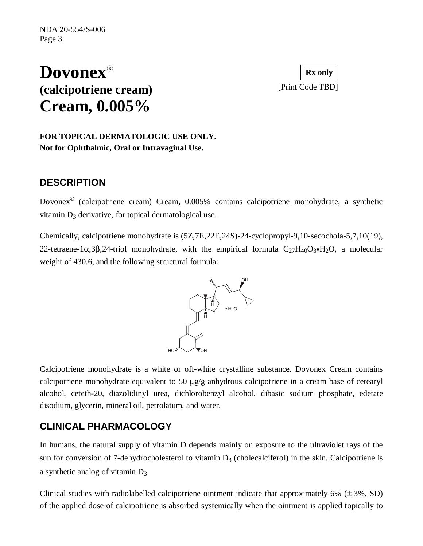# **Dovonex**® **(calcipotriene cream)** [Print Code TBD] **Cream, 0.005%**

**Rx only**

#### **FOR TOPICAL DERMATOLOGIC USE ONLY. Not for Ophthalmic, Oral or Intravaginal Use.**

### **DESCRIPTION**

Dovonex® (calcipotriene cream) Cream, 0.005% contains calcipotriene monohydrate, a synthetic vitamin  $D_3$  derivative, for topical dermatological use.

Chemically, calcipotriene monohydrate is (5Z,7E,22E,24S)-24-cyclopropyl-9,10-secochola-5,7,10(19), 22-tetraene-1α,3β,24-triol monohydrate, with the empirical formula  $C_{27}H_{40}O_3\bullet H_2O$ , a molecular weight of 430.6, and the following structural formula:



Calcipotriene monohydrate is a white or off-white crystalline substance. Dovonex Cream contains calcipotriene monohydrate equivalent to 50  $\mu$ g/g anhydrous calcipotriene in a cream base of cetearyl alcohol, ceteth-20, diazolidinyl urea, dichlorobenzyl alcohol, dibasic sodium phosphate, edetate disodium, glycerin, mineral oil, petrolatum, and water.

### **CLINICAL PHARMACOLOGY**

In humans, the natural supply of vitamin D depends mainly on exposure to the ultraviolet rays of the sun for conversion of 7-dehydrocholesterol to vitamin  $D_3$  (cholecalciferol) in the skin. Calcipotriene is a synthetic analog of vitamin D3.

Clinical studies with radiolabelled calcipotriene ointment indicate that approximately  $6\%$  ( $\pm 3\%$ , SD) of the applied dose of calcipotriene is absorbed systemically when the ointment is applied topically to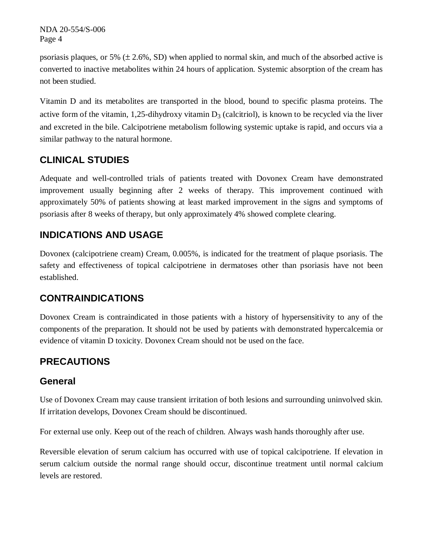NDA 20-554/S-006 Page 4

psoriasis plaques, or 5%  $(\pm 2.6\%, SD)$  when applied to normal skin, and much of the absorbed active is converted to inactive metabolites within 24 hours of application. Systemic absorption of the cream has not been studied.

Vitamin D and its metabolites are transported in the blood, bound to specific plasma proteins. The active form of the vitamin, 1,25-dihydroxy vitamin  $D_3$  (calcitriol), is known to be recycled via the liver and excreted in the bile. Calcipotriene metabolism following systemic uptake is rapid, and occurs via a similar pathway to the natural hormone.

# **CLINICAL STUDIES**

Adequate and well-controlled trials of patients treated with Dovonex Cream have demonstrated improvement usually beginning after 2 weeks of therapy. This improvement continued with approximately 50% of patients showing at least marked improvement in the signs and symptoms of psoriasis after 8 weeks of therapy, but only approximately 4% showed complete clearing.

### **INDICATIONS AND USAGE**

Dovonex (calcipotriene cream) Cream, 0.005%, is indicated for the treatment of plaque psoriasis. The safety and effectiveness of topical calcipotriene in dermatoses other than psoriasis have not been established.

# **CONTRAINDICATIONS**

Dovonex Cream is contraindicated in those patients with a history of hypersensitivity to any of the components of the preparation. It should not be used by patients with demonstrated hypercalcemia or evidence of vitamin D toxicity. Dovonex Cream should not be used on the face.

# **PRECAUTIONS**

#### **General**

Use of Dovonex Cream may cause transient irritation of both lesions and surrounding uninvolved skin. If irritation develops, Dovonex Cream should be discontinued.

For external use only. Keep out of the reach of children. Always wash hands thoroughly after use.

Reversible elevation of serum calcium has occurred with use of topical calcipotriene. If elevation in serum calcium outside the normal range should occur, discontinue treatment until normal calcium levels are restored.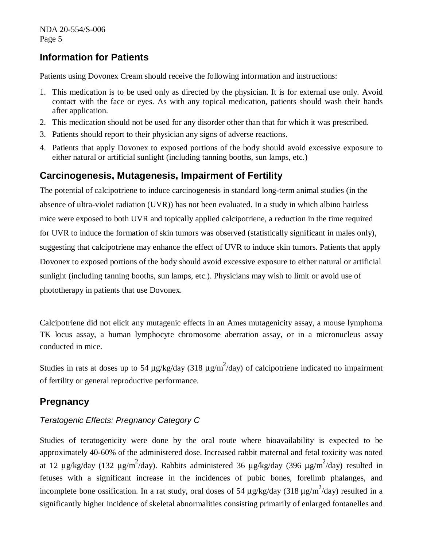#### **Information for Patients**

Patients using Dovonex Cream should receive the following information and instructions:

- 1. This medication is to be used only as directed by the physician. It is for external use only. Avoid contact with the face or eyes. As with any topical medication, patients should wash their hands after application.
- 2. This medication should not be used for any disorder other than that for which it was prescribed.
- 3. Patients should report to their physician any signs of adverse reactions.
- 4. Patients that apply Dovonex to exposed portions of the body should avoid excessive exposure to either natural or artificial sunlight (including tanning booths, sun lamps, etc.)

### **Carcinogenesis, Mutagenesis, Impairment of Fertility**

The potential of calcipotriene to induce carcinogenesis in standard long-term animal studies (in the absence of ultra-violet radiation (UVR)) has not been evaluated. In a study in which albino hairless mice were exposed to both UVR and topically applied calcipotriene, a reduction in the time required for UVR to induce the formation of skin tumors was observed (statistically significant in males only), suggesting that calcipotriene may enhance the effect of UVR to induce skin tumors. Patients that apply Dovonex to exposed portions of the body should avoid excessive exposure to either natural or artificial sunlight (including tanning booths, sun lamps, etc.). Physicians may wish to limit or avoid use of phototherapy in patients that use Dovonex.

Calcipotriene did not elicit any mutagenic effects in an Ames mutagenicity assay, a mouse lymphoma TK locus assay, a human lymphocyte chromosome aberration assay, or in a micronucleus assay conducted in mice.

Studies in rats at doses up to 54  $\mu$ g/kg/day (318  $\mu$ g/m<sup>2</sup>/day) of calcipotriene indicated no impairment of fertility or general reproductive performance.

### **Pregnancy**

#### *Teratogenic Effects: Pregnancy Category C*

Studies of teratogenicity were done by the oral route where bioavailability is expected to be approximately 40-60% of the administered dose. Increased rabbit maternal and fetal toxicity was noted at 12  $\mu$ g/kg/day (132  $\mu$ g/m<sup>2</sup>/day). Rabbits administered 36  $\mu$ g/kg/day (396  $\mu$ g/m<sup>2</sup>/day) resulted in fetuses with a significant increase in the incidences of pubic bones, forelimb phalanges, and incomplete bone ossification. In a rat study, oral doses of 54  $\mu$ g/kg/day (318  $\mu$ g/m<sup>2</sup>/day) resulted in a significantly higher incidence of skeletal abnormalities consisting primarily of enlarged fontanelles and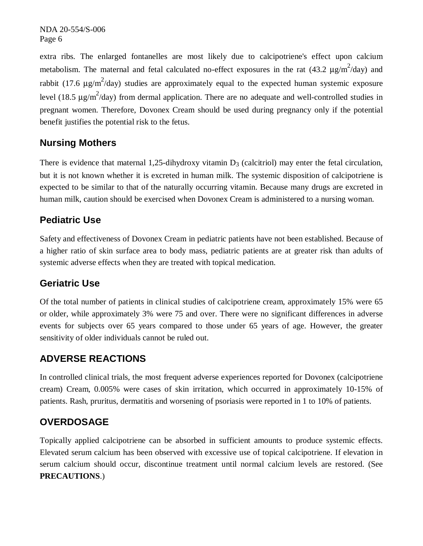NDA 20-554/S-006 Page 6

extra ribs. The enlarged fontanelles are most likely due to calcipotriene's effect upon calcium metabolism. The maternal and fetal calculated no-effect exposures in the rat  $(43.2 \text{ }\mu\text{g/m}^2/\text{day})$  and rabbit (17.6  $\mu$ g/m<sup>2</sup>/day) studies are approximately equal to the expected human systemic exposure level (18.5  $\mu$ g/m<sup>2</sup>/day) from dermal application. There are no adequate and well-controlled studies in pregnant women. Therefore, Dovonex Cream should be used during pregnancy only if the potential benefit justifies the potential risk to the fetus.

## **Nursing Mothers**

There is evidence that maternal 1,25-dihydroxy vitamin  $D_3$  (calcitriol) may enter the fetal circulation, but it is not known whether it is excreted in human milk. The systemic disposition of calcipotriene is expected to be similar to that of the naturally occurring vitamin. Because many drugs are excreted in human milk, caution should be exercised when Dovonex Cream is administered to a nursing woman.

#### **Pediatric Use**

Safety and effectiveness of Dovonex Cream in pediatric patients have not been established. Because of a higher ratio of skin surface area to body mass, pediatric patients are at greater risk than adults of systemic adverse effects when they are treated with topical medication.

#### **Geriatric Use**

Of the total number of patients in clinical studies of calcipotriene cream, approximately 15% were 65 or older, while approximately 3% were 75 and over. There were no significant differences in adverse events for subjects over 65 years compared to those under 65 years of age. However, the greater sensitivity of older individuals cannot be ruled out.

### **ADVERSE REACTIONS**

In controlled clinical trials, the most frequent adverse experiences reported for Dovonex (calcipotriene cream) Cream, 0.005% were cases of skin irritation, which occurred in approximately 10-15% of patients. Rash, pruritus, dermatitis and worsening of psoriasis were reported in 1 to 10% of patients.

### **OVERDOSAGE**

Topically applied calcipotriene can be absorbed in sufficient amounts to produce systemic effects. Elevated serum calcium has been observed with excessive use of topical calcipotriene. If elevation in serum calcium should occur, discontinue treatment until normal calcium levels are restored. (See **PRECAUTIONS**.)